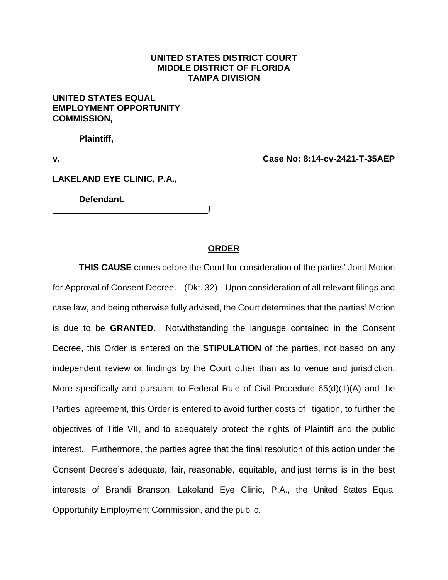## **UNITED STATES DISTRICT COURT MIDDLE DISTRICT OF FLORIDA TAMPA DIVISION**

## **UNITED STATES EQUAL EMPLOYMENT OPPORTUNITY COMMISSION,**

**Plaintiff,**

**v. Case No: 8:14-cv-2421-T-35AEP**

## **LAKELAND EYE CLINIC, P.A.,**

**Defendant.**

## **ORDER**

**/** 

**THIS CAUSE** comes before the Court for consideration of the parties' Joint Motion for Approval of Consent Decree. (Dkt. 32) Upon consideration of all relevant filings and case law, and being otherwise fully advised, the Court determines that the parties' Motion is due to be **GRANTED**. Notwithstanding the language contained in the Consent Decree, this Order is entered on the **STIPULATION** of the parties, not based on any independent review or findings by the Court other than as to venue and jurisdiction. More specifically and pursuant to Federal Rule of Civil Procedure 65(d)(1)(A) and the Parties' agreement, this Order is entered to avoid further costs of litigation, to further the objectives of Title VII, and to adequately protect the rights of Plaintiff and the public interest. Furthermore, the parties agree that the final resolution of this action under the Consent Decree's adequate, fair, reasonable, equitable, and just terms is in the best interests of Brandi Branson, Lakeland Eye Clinic, P.A., the United States Equal Opportunity Employment Commission, and the public.